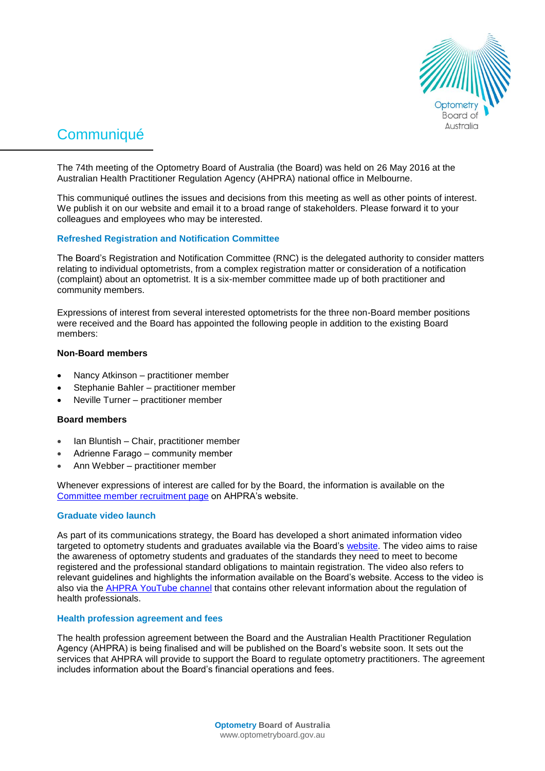

# **Communiqué**

The 74th meeting of the Optometry Board of Australia (the Board) was held on 26 May 2016 at the Australian Health Practitioner Regulation Agency (AHPRA) national office in Melbourne.

This communiqué outlines the issues and decisions from this meeting as well as other points of interest. We publish it on our website and email it to a broad range of stakeholders. Please forward it to your colleagues and employees who may be interested.

## **Refreshed Registration and Notification Committee**

The Board's Registration and Notification Committee (RNC) is the delegated authority to consider matters relating to individual optometrists, from a complex registration matter or consideration of a notification (complaint) about an optometrist. It is a six-member committee made up of both practitioner and community members.

Expressions of interest from several interested optometrists for the three non-Board member positions were received and the Board has appointed the following people in addition to the existing Board members:

#### **Non-Board members**

- Nancy Atkinson practitioner member
- Stephanie Bahler practitioner member
- Neville Turner practitioner member

# **Board members**

- Ian Bluntish Chair, practitioner member
- Adrienne Farago community member
- Ann Webber practitioner member

Whenever expressions of interest are called for by the Board, the information is available on the [Committee member recruitment page](http://www.ahpra.gov.au/National-Boards/National-Boards-recruitment/Committee-member-recruitment.aspx) on AHPRA's website.

## **Graduate video launch**

As part of its communications strategy, the Board has developed a short animated information video targeted to optometry students and graduates available via the Board's [website.](http://www.optometryboard.gov.au/) The video aims to raise the awareness of optometry students and graduates of the standards they need to meet to become registered and the professional standard obligations to maintain registration. The video also refers to relevant guidelines and highlights the information available on the Board's website. Access to the video is also via the [AHPRA YouTube](https://www.youtube.com/channel/UCtswdaCOff5CIv1ijDY9ffw) channel that contains other relevant information about the regulation of health professionals.

#### **Health profession agreement and fees**

The health profession agreement between the Board and the Australian Health Practitioner Regulation Agency (AHPRA) is being finalised and will be published on the Board's website soon. It sets out the services that AHPRA will provide to support the Board to regulate optometry practitioners. The agreement includes information about the Board's financial operations and fees.